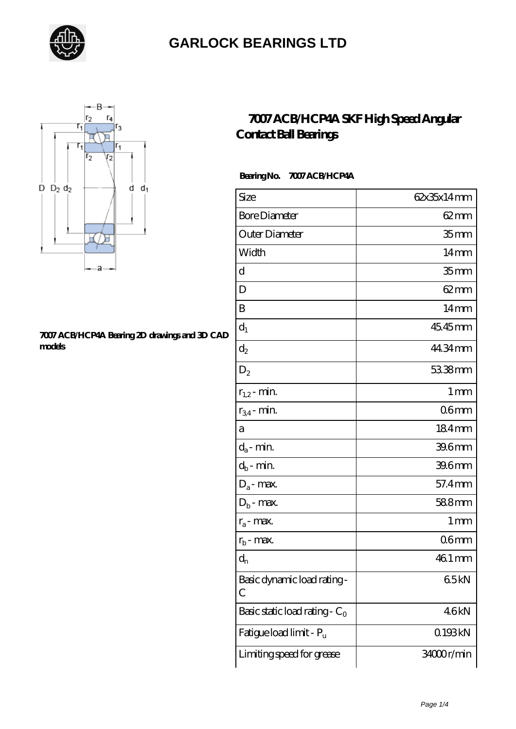



#### **[7007 ACB/HCP4A Bearing 2D drawings and 3D CAD](https://letterstopriests.com/pic-935068.html) [models](https://letterstopriests.com/pic-935068.html)**

### **[7007 ACB/HCP4A SKF High Speed Angular](https://letterstopriests.com/skf-bearing/7007-acb-hcp4a.html) [Contact Ball Bearings](https://letterstopriests.com/skf-bearing/7007-acb-hcp4a.html)**

### **Bearing No. 7007 ACB/HCP4A**

| Size                             | 62x35x14mm         |
|----------------------------------|--------------------|
| <b>Bore Diameter</b>             | $62$ <sub>mm</sub> |
| Outer Diameter                   | 35 <sub>mm</sub>   |
| Width                            | 14 <sub>mm</sub>   |
| d                                | 35 <sub>mm</sub>   |
| D                                | $62 \text{mm}$     |
| B                                | 14 <sub>mm</sub>   |
| $d_1$                            | 45.45mm            |
| $d_2$                            | 44.34mm            |
| $D_2$                            | 53.38mm            |
| $r_{1,2}$ - min.                 | 1 <sub>mm</sub>    |
| $r_{34}$ - min.                  | 06 <sub>mm</sub>   |
| а                                | 184mm              |
| $d_a$ - min.                     | 39.6mm             |
| $d_b$ - min.                     | 39.6mm             |
| $D_a$ - max.                     | 57.4mm             |
| $D_b$ - max.                     | 588mm              |
| $r_a$ - max.                     | 1 <sub>mm</sub>    |
| $r_{\rm b}$ - max.               | 06 <sub>mm</sub>   |
| $\mathrm{d}_{\mathrm{n}}$        | 46.1 mm            |
| Basic dynamic load rating-<br>С  | 65kN               |
| Basic static load rating - $C_0$ | 46kN               |
| Fatigue load limit - Pu          | 0193kN             |
| Limiting speed for grease        | 34000r/min         |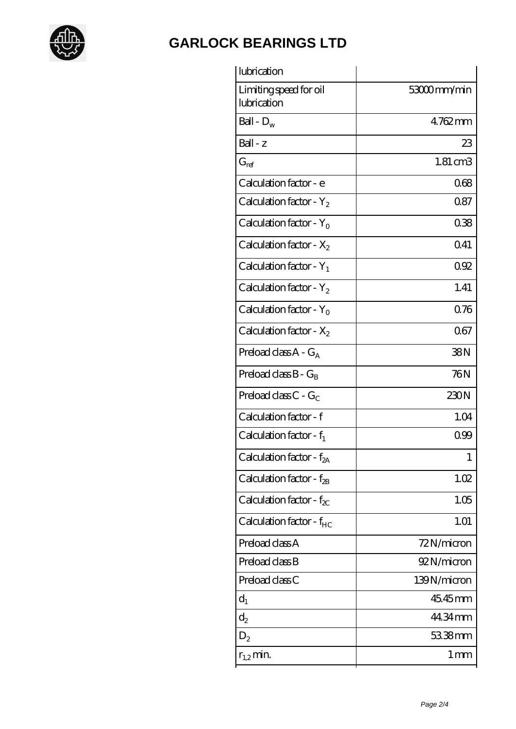

| lubrication                           |                   |
|---------------------------------------|-------------------|
| Limiting speed for oil<br>lubrication | 53000mm/min       |
| Ball - $D_w$                          | 4.762mm           |
| Ball - z                              | 23                |
| $G_{\mathrm{ref}}$                    | $1.81 \text{ cm}$ |
| Calculation factor - e                | 068               |
| Calculation factor - $Y_2$            | 0.87              |
| Calculation factor - Y <sub>o</sub>   | 038               |
| Calculation factor - $X_2$            | 0.41              |
| Calculation factor - $Y_1$            | 0.92              |
| Calculation factor - $Y_2$            | 1.41              |
| Calculation factor - $Y_0$            | 0.76              |
| Calculation factor - $X_2$            | 067               |
| Preload class $A - G_A$               | 38N               |
| Preload class $B - G_B$               | 76N               |
| Preload class $C - G_C$               | 230N              |
| Calculation factor - f                | 1.04              |
| Calculation factor - $f_1$            | 099               |
| Calculation factor - f <sub>2A</sub>  | 1                 |
| Calculation factor - $f_{28}$         | 1.02              |
| Calculation factor - $f_{\chi}$       | 1.05              |
| Calculation factor - f <sub>HC</sub>  | 1.01              |
| Preload class A                       | 72N/micron        |
| Preload class B                       | 92N/micron        |
| Preload class C                       | 139N/micron       |
| $d_1$                                 | 45.45mm           |
| $d_2$                                 | 44.34 mm          |
| $D_2$                                 | 53.38mm           |
| $r_{1,2}$ min.                        | 1 <sub>mm</sub>   |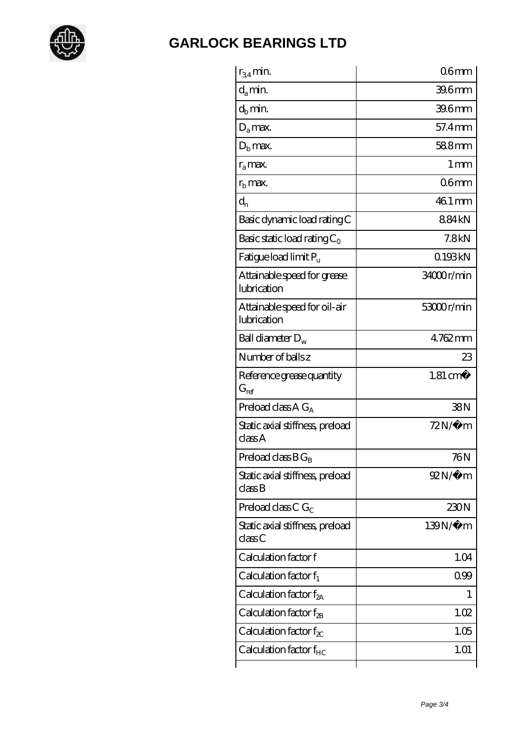

| $r_{34}$ min.                               | 06 <sub>mm</sub>    |
|---------------------------------------------|---------------------|
| $d_a$ min.                                  | 396 <sub>mm</sub>   |
| $d_b$ min.                                  | 39.6mm              |
| $D_a$ max.                                  | 57.4mm              |
| $Db$ max.                                   | 588mm               |
| $r_a$ max.                                  | 1 <sub>mm</sub>     |
| $rb$ max.                                   | 06 <sub>mm</sub>    |
| $d_{n}$                                     | 46.1 mm             |
| Basic dynamic load rating C                 | 884kN               |
| Basic static load rating $C_0$              | 7.8kN               |
| Fatigue load limit Pu                       | 0.193kN             |
| Attainable speed for grease<br>lubrication  | 34000r/min          |
| Attainable speed for oil-air<br>lubrication | 53000r/min          |
| Ball diameter $D_w$                         | 4762mm              |
| Number of balls z                           | 23                  |
| Reference grease quantity<br>$G_{ref}$      | $1.81 \text{ cm}^3$ |
| Preload class A $G_A$                       | 38N                 |
| Static axial stiffness, preload<br>classA   | $72N/\mu$ m         |
| Preload class $BG_B$                        | 76N                 |
| Static axial stiffness, preload<br>classB   | $92N/\mu$ m         |
| Preload class C $G_C$                       | 230N                |
| Static axial stiffness, preload<br>classC   | 139N/μ m            |
| Calculation factor f                        | 1.04                |
| Calculation factor $f_1$                    | 099                 |
| Calculation factor $f_{2A}$                 | 1                   |
| Calculation factor $f_{\rm 2B}$             | 1.02                |
| Calculation factor $f_{\chi}$               | 1.05                |
|                                             | 1.01                |
| Calculation factor $f_{HC}$                 |                     |